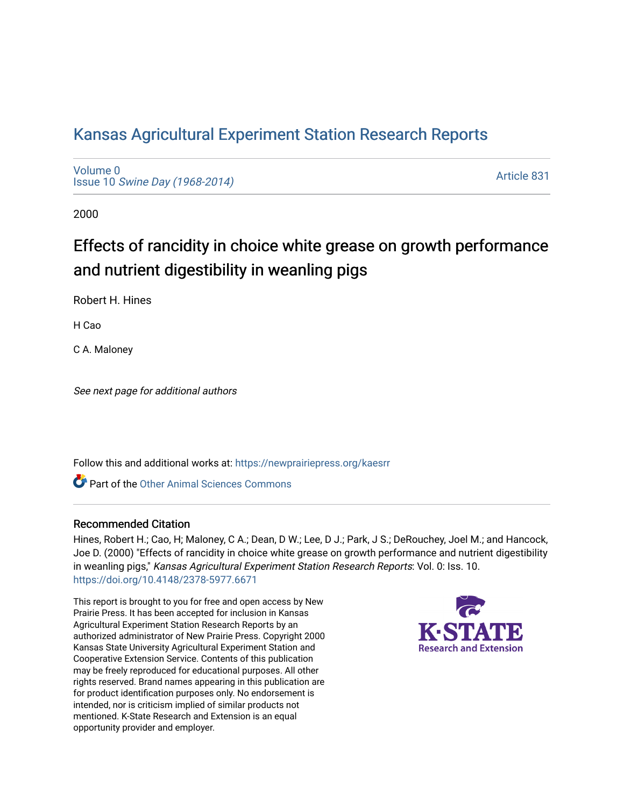## [Kansas Agricultural Experiment Station Research Reports](https://newprairiepress.org/kaesrr)

[Volume 0](https://newprairiepress.org/kaesrr/vol0) Issue 10 [Swine Day \(1968-2014\)](https://newprairiepress.org/kaesrr/vol0/iss10)

[Article 831](https://newprairiepress.org/kaesrr/vol0/iss10/831) 

2000

# Effects of rancidity in choice white grease on growth performance and nutrient digestibility in weanling pigs

Robert H. Hines

H Cao

C A. Maloney

See next page for additional authors

Follow this and additional works at: [https://newprairiepress.org/kaesrr](https://newprairiepress.org/kaesrr?utm_source=newprairiepress.org%2Fkaesrr%2Fvol0%2Fiss10%2F831&utm_medium=PDF&utm_campaign=PDFCoverPages) 

**C** Part of the [Other Animal Sciences Commons](http://network.bepress.com/hgg/discipline/82?utm_source=newprairiepress.org%2Fkaesrr%2Fvol0%2Fiss10%2F831&utm_medium=PDF&utm_campaign=PDFCoverPages)

#### Recommended Citation

Hines, Robert H.; Cao, H; Maloney, C A.; Dean, D W.; Lee, D J.; Park, J S.; DeRouchey, Joel M.; and Hancock, Joe D. (2000) "Effects of rancidity in choice white grease on growth performance and nutrient digestibility in weanling pigs," Kansas Agricultural Experiment Station Research Reports: Vol. 0: Iss. 10. <https://doi.org/10.4148/2378-5977.6671>

This report is brought to you for free and open access by New Prairie Press. It has been accepted for inclusion in Kansas Agricultural Experiment Station Research Reports by an authorized administrator of New Prairie Press. Copyright 2000 Kansas State University Agricultural Experiment Station and Cooperative Extension Service. Contents of this publication may be freely reproduced for educational purposes. All other rights reserved. Brand names appearing in this publication are for product identification purposes only. No endorsement is intended, nor is criticism implied of similar products not mentioned. K-State Research and Extension is an equal opportunity provider and employer.

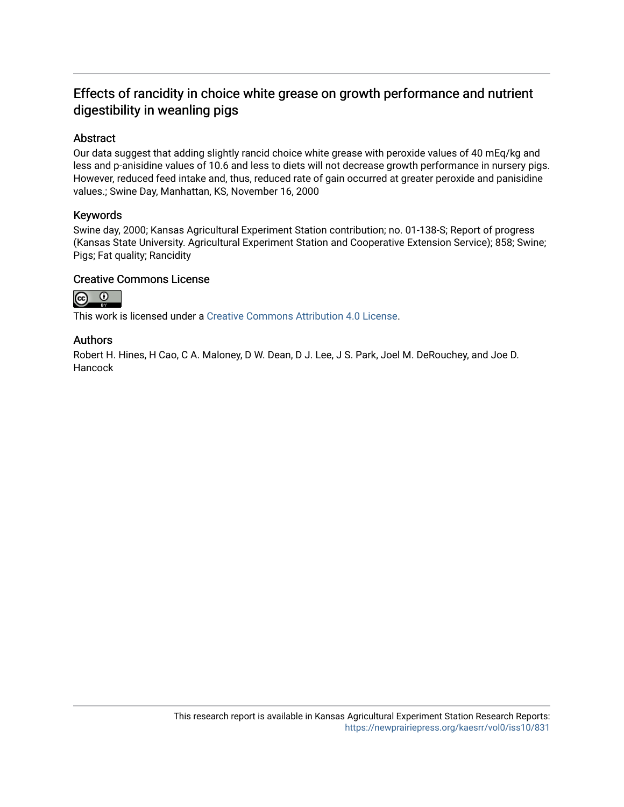### Effects of rancidity in choice white grease on growth performance and nutrient digestibility in weanling pigs

#### Abstract

Our data suggest that adding slightly rancid choice white grease with peroxide values of 40 mEq/kg and less and p-anisidine values of 10.6 and less to diets will not decrease growth performance in nursery pigs. However, reduced feed intake and, thus, reduced rate of gain occurred at greater peroxide and panisidine values.; Swine Day, Manhattan, KS, November 16, 2000

#### Keywords

Swine day, 2000; Kansas Agricultural Experiment Station contribution; no. 01-138-S; Report of progress (Kansas State University. Agricultural Experiment Station and Cooperative Extension Service); 858; Swine; Pigs; Fat quality; Rancidity

#### Creative Commons License



This work is licensed under a [Creative Commons Attribution 4.0 License](https://creativecommons.org/licenses/by/4.0/).

#### Authors

Robert H. Hines, H Cao, C A. Maloney, D W. Dean, D J. Lee, J S. Park, Joel M. DeRouchey, and Joe D. **Hancock**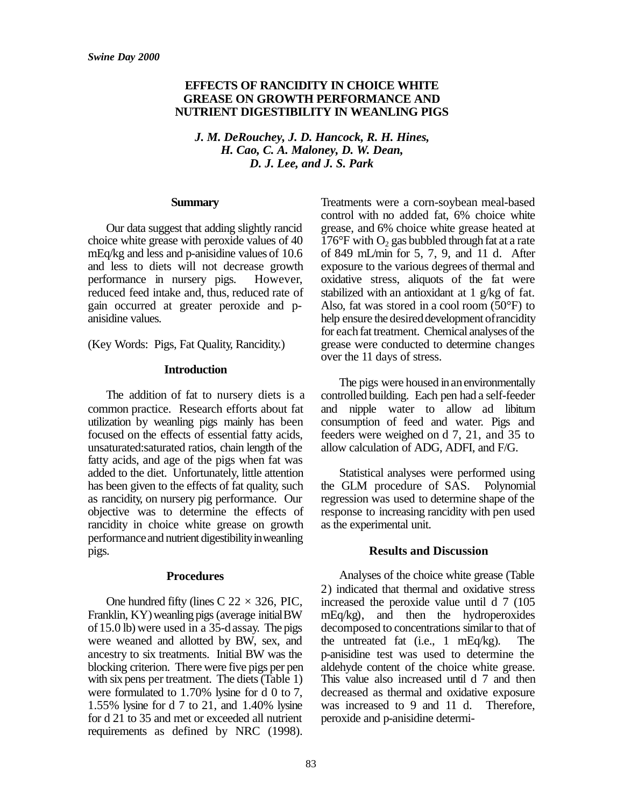#### **EFFECTS OF RANCIDITY IN CHOICE WHITE GREASE ON GROWTH PERFORMANCE AND NUTRIENT DIGESTIBILITY IN WEANLING PIGS**

*J. M. DeRouchey, J. D. Hancock, R. H. Hines, H. Cao, C. A. Maloney, D. W. Dean, D. J. Lee, and J. S. Park*

#### **Summary**

Our data suggest that adding slightly rancid choice white grease with peroxide values of 40 mEq/kg and less and p-anisidine values of 10.6 and less to diets will not decrease growth performance in nursery pigs. However, reduced feed intake and, thus, reduced rate of gain occurred at greater peroxide and panisidine values.

(Key Words: Pigs, Fat Quality, Rancidity.)

#### **Introduction**

The addition of fat to nursery diets is a common practice. Research efforts about fat utilization by weanling pigs mainly has been focused on the effects of essential fatty acids, unsaturated:saturated ratios, chain length of the fatty acids, and age of the pigs when fat was added to the diet. Unfortunately, little attention has been given to the effects of fat quality, such as rancidity, on nursery pig performance. Our objective was to determine the effects of rancidity in choice white grease on growth performance and nutrient digestibility in weanling pigs.

#### **Procedures**

One hundred fifty (lines C  $22 \times 326$ , PIC, Franklin, KY) weanling pigs (average initial BW) of15.0 lb) were used in a 35-dassay. The pigs were weaned and allotted by BW, sex, and ancestry to six treatments. Initial BW was the blocking criterion. There were five pigs per pen with six pens per treatment. The diets (Table 1) were formulated to 1.70% lysine for d 0 to 7, 1.55% lysine for d 7 to 21, and 1.40% lysine for d 21 to 35 and met or exceeded all nutrient requirements as defined by NRC (1998).

Treatments were a corn-soybean meal-based control with no added fat, 6% choice white grease, and 6% choice white grease heated at  $176^{\circ}$ F with O<sub>2</sub> gas bubbled through fat at a rate of 849 mL/min for 5, 7, 9, and 11 d. After exposure to the various degrees of thermal and oxidative stress, aliquots of the fat were stabilized with an antioxidant at 1 g/kg of fat. Also, fat was stored in a cool room (50°F) to help ensure the desired development of rancidity for each fat treatment. Chemical analyses of the grease were conducted to determine changes over the 11 days of stress.

The pigs were housed in an environmentally controlled building. Each pen had a self-feeder and nipple water to allow ad libitum consumption of feed and water. Pigs and feeders were weighed on d 7, 21, and 35 to allow calculation of ADG, ADFI, and F/G.

Statistical analyses were performed using the GLM procedure of SAS. Polynomial regression was used to determine shape of the response to increasing rancidity with pen used as the experimental unit.

#### **Results and Discussion**

Analyses of the choice white grease (Table 2) indicated that thermal and oxidative stress increased the peroxide value until d 7 (105 mEq/kg), and then the hydroperoxides decomposed to concentrations similarto that of the untreated fat (i.e., 1 mEq/kg). The p-anisidine test was used to determine the aldehyde content of the choice white grease. This value also increased until d 7 and then decreased as thermal and oxidative exposure was increased to 9 and 11 d. Therefore, peroxide and p-anisidine determi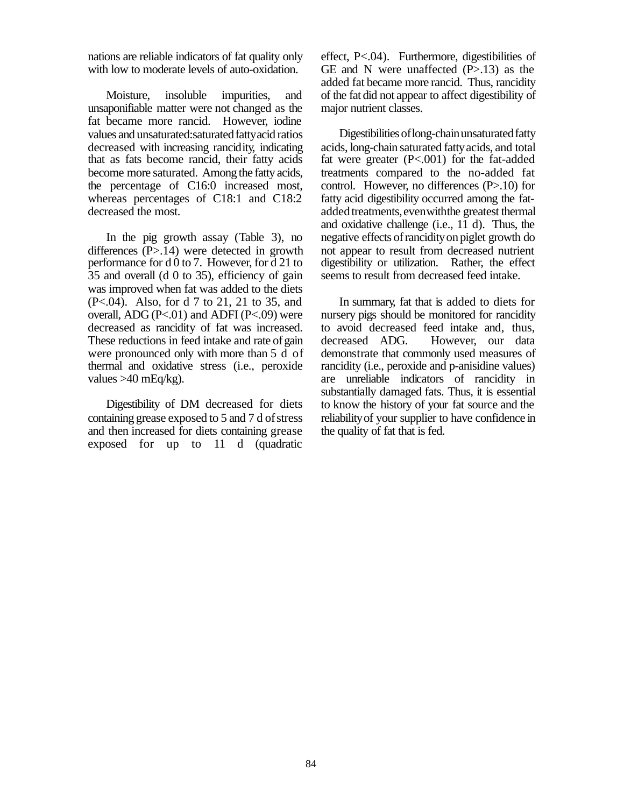nations are reliable indicators of fat quality only with low to moderate levels of auto-oxidation.

Moisture, insoluble impurities, and unsaponifiable matter were not changed as the fat became more rancid. However, iodine values and unsaturated: saturated fatty acid ratios decreased with increasing rancidity, indicating that as fats become rancid, their fatty acids become more saturated. Among the fatty acids, the percentage of C16:0 increased most, whereas percentages of C18:1 and C18:2 decreased the most.

In the pig growth assay (Table 3), no differences (P>.14) were detected in growth performance for d 0 to 7. However, for d 21 to 35 and overall (d 0 to 35), efficiency of gain was improved when fat was added to the diets (P<.04). Also, for d 7 to 21, 21 to 35, and overall, ADG ( $P<.01$ ) and ADFI ( $P<.09$ ) were decreased as rancidity of fat was increased. These reductions in feed intake and rate of gain were pronounced only with more than 5 d of thermal and oxidative stress (i.e., peroxide values  $>40$  mEq/kg).

Digestibility of DM decreased for diets containing grease exposed to 5 and 7 d of stress and then increased for diets containing grease exposed for up to 11 d (quadratic

effect, P<.04). Furthermore, digestibilities of GE and N were unaffected  $(P>13)$  as the added fat became more rancid. Thus, rancidity of the fat did not appear to affect digestibility of major nutrient classes.

Digestibilities of long-chain unsaturated fatty acids, long-chain saturated fattyacids, and total fat were greater (P<.001) for the fat-added treatments compared to the no-added fat control. However, no differences (P>.10) for fatty acid digestibility occurred among the fatadded treatments, even with the greatest thermal and oxidative challenge (i.e.,  $1\overline{1}$  d). Thus, the negative effects ofrancidityonpiglet growth do not appear to result from decreased nutrient digestibility or utilization. Rather, the effect seems to result from decreased feed intake.

In summary, fat that is added to diets for nursery pigs should be monitored for rancidity to avoid decreased feed intake and, thus, decreased ADG. However, our data demonstrate that commonly used measures of rancidity (i.e., peroxide and p-anisidine values) are unreliable indicators of rancidity in substantially damaged fats. Thus, it is essential to know the history of your fat source and the reliabilityof your supplier to have confidence in the quality of fat that is fed.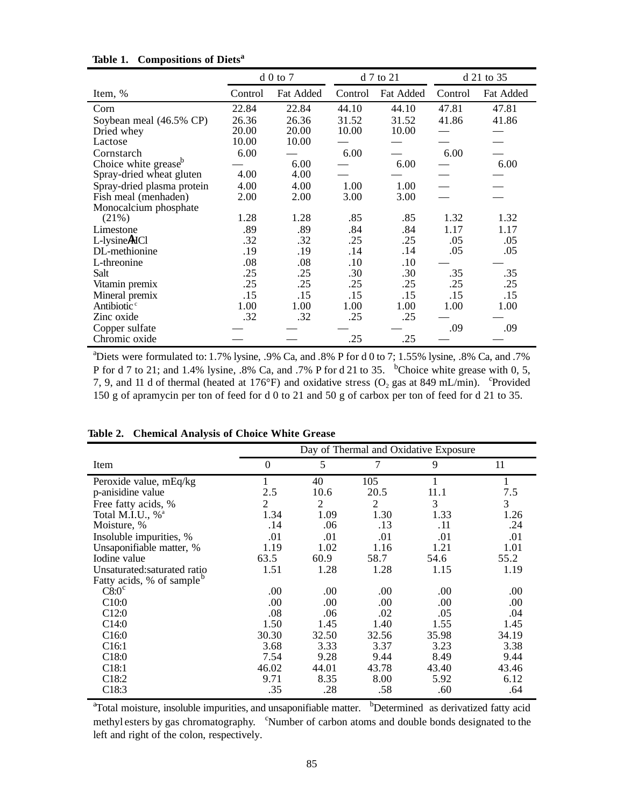|                                  |         | $d0$ to $7$ |         | d 7 to 21 | d 21 to 35 |           |  |
|----------------------------------|---------|-------------|---------|-----------|------------|-----------|--|
| Item, %                          | Control | Fat Added   | Control | Fat Added | Control    | Fat Added |  |
| Corn                             | 22.84   | 22.84       | 44.10   | 44.10     | 47.81      | 47.81     |  |
| Soybean meal (46.5% CP)          | 26.36   | 26.36       | 31.52   | 31.52     | 41.86      | 41.86     |  |
| Dried whey                       | 20.00   | 20.00       | 10.00   | 10.00     |            |           |  |
| Lactose                          | 10.00   | 10.00       |         |           |            |           |  |
| Cornstarch                       | 6.00    |             | 6.00    |           | 6.00       |           |  |
| Choice white grease <sup>b</sup> |         | 6.00        |         | 6.00      |            | 6.00      |  |
| Spray-dried wheat gluten         | 4.00    | 4.00        |         |           |            |           |  |
| Spray-dried plasma protein       | 4.00    | 4.00        | 1.00    | 1.00      |            |           |  |
| Fish meal (menhaden)             | 2.00    | 2.00        | 3.00    | 3.00      |            |           |  |
| Monocalcium phosphate            |         |             |         |           |            |           |  |
| (21%)                            | 1.28    | 1.28        | .85     | .85       | 1.32       | 1.32      |  |
| Limestone                        | .89     | .89         | .84     | .84       | 1.17       | 1.17      |  |
| L-lysine HCl                     | .32     | .32         | .25     | .25       | .05        | .05       |  |
| DL-methionine                    | .19     | .19         | .14     | .14       | .05        | .05       |  |
| L-threonine                      | .08     | .08         | .10     | .10       |            |           |  |
| Salt                             | .25     | .25         | .30     | .30       | .35        | .35       |  |
| Vitamin premix                   | .25     | .25         | .25     | .25       | .25        | .25       |  |
| Mineral premix                   | .15     | .15         | .15     | .15       | .15        | .15       |  |
| Antibiotic <sup>c</sup>          | 1.00    | 1.00        | 1.00    | 1.00      | 1.00       | 1.00      |  |
| Zinc oxide                       | .32     | .32         | .25     | .25       |            |           |  |
| Copper sulfate                   |         |             |         |           | .09        | .09       |  |
| Chromic oxide                    |         |             | .25     | .25       |            |           |  |

#### **Table 1. Compositions of Diets<sup>a</sup>**

<sup>a</sup>Diets were formulated to: 1.7% lysine, .9% Ca, and .8% P for d 0 to 7; 1.55% lysine, .8% Ca, and .7% P for d 7 to 21; and 1.4% lysine, .8% Ca, and .7% P for d 21 to 35.  $b$ Choice white grease with 0, 5, 7, 9, and 11 d of thermal (heated at 176°F) and oxidative stress (O<sub>2</sub> gas at 849 mL/min). <sup>c</sup>Provided 150 g of apramycin per ton of feed for d 0 to 21 and 50 g of carbox per ton of feed for d 21 to 35.

|                                       | Day of Thermal and Oxidative Exposure |       |       |       |       |  |  |  |
|---------------------------------------|---------------------------------------|-------|-------|-------|-------|--|--|--|
| Item                                  | $\theta$                              | 5     | 7     | 9     | 11    |  |  |  |
| Peroxide value, mEq/kg                |                                       | 40    | 105   |       | 1     |  |  |  |
| p-anisidine value                     | 2.5                                   | 10.6  | 20.5  | 11.1  | 7.5   |  |  |  |
| Free fatty acids, %                   | 2                                     | 2     | 2     | 3     | 3     |  |  |  |
| Total M.I.U., % <sup>a</sup>          | 1.34                                  | 1.09  | 1.30  | 1.33  | 1.26  |  |  |  |
| Moisture, %                           | .14                                   | .06   | .13   | .11   | .24   |  |  |  |
| Insoluble impurities, %               | .01                                   | .01   | .01   | .01   | .01   |  |  |  |
| Unsaponifiable matter, %              | 1.19                                  | 1.02  | 1.16  | 1.21  | 1.01  |  |  |  |
| Iodine value                          | 63.5                                  | 60.9  | 58.7  | 54.6  | 55.2  |  |  |  |
| Unsaturated: saturated ratio          | 1.51                                  | 1.28  | 1.28  | 1.15  | 1.19  |  |  |  |
| Fatty acids, % of sample <sup>b</sup> |                                       |       |       |       |       |  |  |  |
| $C8:0^{\circ}$                        | .00.                                  | .00   | .00   | .00   | .00.  |  |  |  |
| C10:0                                 | .00                                   | .00   | .00   | .00   | .00.  |  |  |  |
| C <sub>12:0</sub>                     | .08                                   | .06   | .02   | .05   | .04   |  |  |  |
| C <sub>14:0</sub>                     | 1.50                                  | 1.45  | 1.40  | 1.55  | 1.45  |  |  |  |
| C16:0                                 | 30.30                                 | 32.50 | 32.56 | 35.98 | 34.19 |  |  |  |
| C <sub>16:1</sub>                     | 3.68                                  | 3.33  | 3.37  | 3.23  | 3.38  |  |  |  |
| C <sub>18:0</sub>                     | 7.54                                  | 9.28  | 9.44  | 8.49  | 9.44  |  |  |  |
| C18:1                                 | 46.02                                 | 44.01 | 43.78 | 43.40 | 43.46 |  |  |  |
| C18:2                                 | 9.71                                  | 8.35  | 8.00  | 5.92  | 6.12  |  |  |  |
| C18:3                                 | .35                                   | .28   | .58   | .60   | .64   |  |  |  |

#### **Table 2. Chemical Analysis of Choice White Grease**

<sup>a</sup>Total moisture, insoluble impurities, and unsaponifiable matter. <sup>b</sup>Determined as derivatized fatty acid methyl esters by gas chromatography. <sup>c</sup>Number of carbon atoms and double bonds designated to the left and right of the colon, respectively.